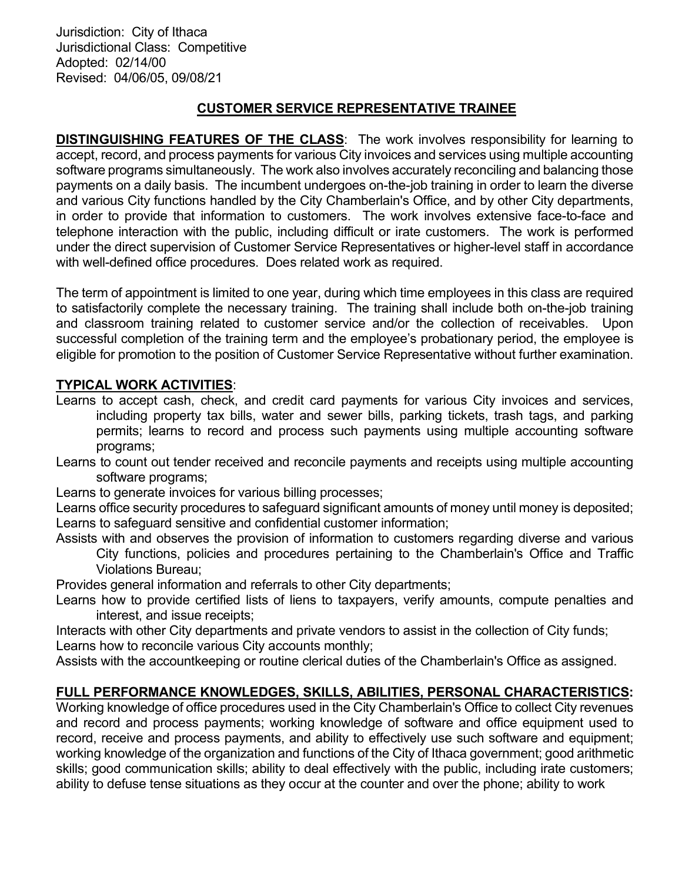Jurisdiction: City of Ithaca Jurisdictional Class: Competitive Adopted: 02/14/00 Revised: 04/06/05, 09/08/21

## CUSTOMER SERVICE REPRESENTATIVE TRAINEE

DISTINGUISHING FEATURES OF THE CLASS: The work involves responsibility for learning to accept, record, and process payments for various City invoices and services using multiple accounting software programs simultaneously. The work also involves accurately reconciling and balancing those payments on a daily basis. The incumbent undergoes on-the-job training in order to learn the diverse and various City functions handled by the City Chamberlain's Office, and by other City departments, in order to provide that information to customers. The work involves extensive face-to-face and telephone interaction with the public, including difficult or irate customers. The work is performed under the direct supervision of Customer Service Representatives or higher-level staff in accordance with well-defined office procedures. Does related work as required.

The term of appointment is limited to one year, during which time employees in this class are required to satisfactorily complete the necessary training. The training shall include both on-the-job training and classroom training related to customer service and/or the collection of receivables. Upon successful completion of the training term and the employee's probationary period, the employee is eligible for promotion to the position of Customer Service Representative without further examination.

## TYPICAL WORK ACTIVITIES:

Learns to accept cash, check, and credit card payments for various City invoices and services, including property tax bills, water and sewer bills, parking tickets, trash tags, and parking permits; learns to record and process such payments using multiple accounting software programs;

Learns to count out tender received and reconcile payments and receipts using multiple accounting software programs;

Learns to generate invoices for various billing processes;

Learns office security procedures to safeguard significant amounts of money until money is deposited; Learns to safeguard sensitive and confidential customer information;

Assists with and observes the provision of information to customers regarding diverse and various City functions, policies and procedures pertaining to the Chamberlain's Office and Traffic Violations Bureau;

Provides general information and referrals to other City departments;

Learns how to provide certified lists of liens to taxpayers, verify amounts, compute penalties and interest, and issue receipts;

Interacts with other City departments and private vendors to assist in the collection of City funds;

Learns how to reconcile various City accounts monthly;

Assists with the accountkeeping or routine clerical duties of the Chamberlain's Office as assigned.

# FULL PERFORMANCE KNOWLEDGES, SKILLS, ABILITIES, PERSONAL CHARACTERISTICS:

Working knowledge of office procedures used in the City Chamberlain's Office to collect City revenues and record and process payments; working knowledge of software and office equipment used to record, receive and process payments, and ability to effectively use such software and equipment; working knowledge of the organization and functions of the City of Ithaca government; good arithmetic skills; good communication skills; ability to deal effectively with the public, including irate customers; ability to defuse tense situations as they occur at the counter and over the phone; ability to work